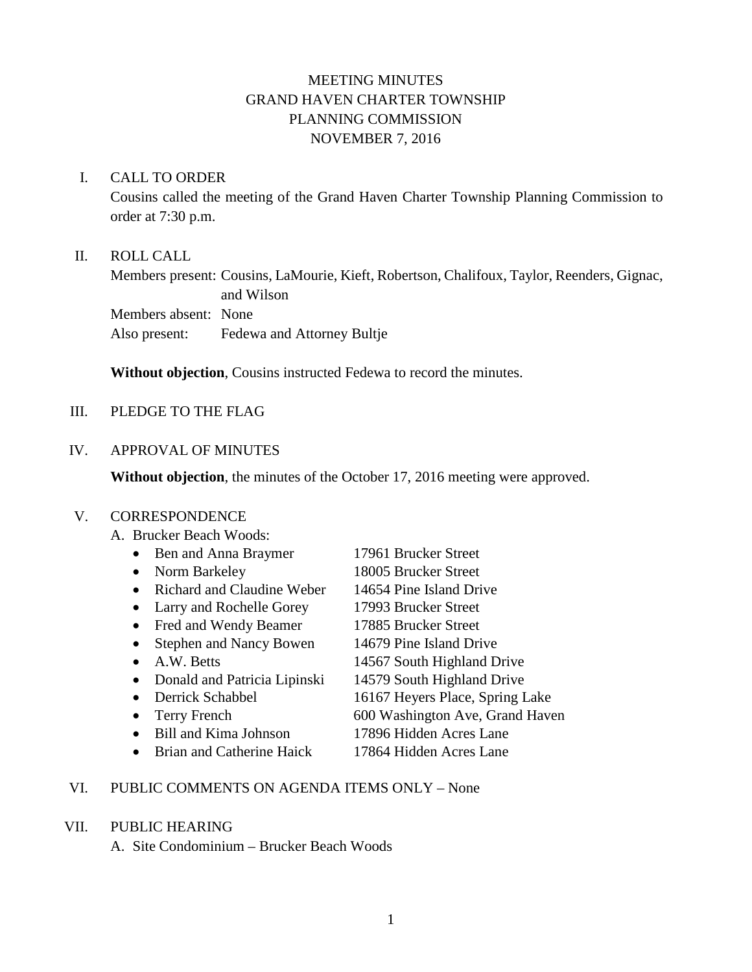# MEETING MINUTES GRAND HAVEN CHARTER TOWNSHIP PLANNING COMMISSION NOVEMBER 7, 2016

#### I. CALL TO ORDER

Cousins called the meeting of the Grand Haven Charter Township Planning Commission to order at 7:30 p.m.

### II. ROLL CALL

Members present: Cousins, LaMourie, Kieft, Robertson, Chalifoux, Taylor, Reenders, Gignac, and Wilson Members absent: None Also present: Fedewa and Attorney Bultje

**Without objection**, Cousins instructed Fedewa to record the minutes.

### III. PLEDGE TO THE FLAG

#### IV. APPROVAL OF MINUTES

**Without objection**, the minutes of the October 17, 2016 meeting were approved.

### V. CORRESPONDENCE

A. Brucker Beach Woods:

| Ben and Anna Braymer           | 17961 Brucker Street            |
|--------------------------------|---------------------------------|
| Norm Barkeley                  | 18005 Brucker Street            |
| Richard and Claudine Weber     | 14654 Pine Island Drive         |
| Larry and Rochelle Gorey       | 17993 Brucker Street            |
| Fred and Wendy Beamer          | 17885 Brucker Street            |
| <b>Stephen and Nancy Bowen</b> | 14679 Pine Island Drive         |
| A.W. Betts                     | 14567 South Highland Drive      |
| Donald and Patricia Lipinski   | 14579 South Highland Drive      |
| Derrick Schabbel               | 16167 Heyers Place, Spring Lake |
| Terry French                   | 600 Washington Ave, Grand Haven |
| <b>Bill and Kima Johnson</b>   | 17896 Hidden Acres Lane         |
| Brian and Catherine Haick      | 17864 Hidden Acres Lane         |

### VI. PUBLIC COMMENTS ON AGENDA ITEMS ONLY – None

#### VII. PUBLIC HEARING

A. Site Condominium – Brucker Beach Woods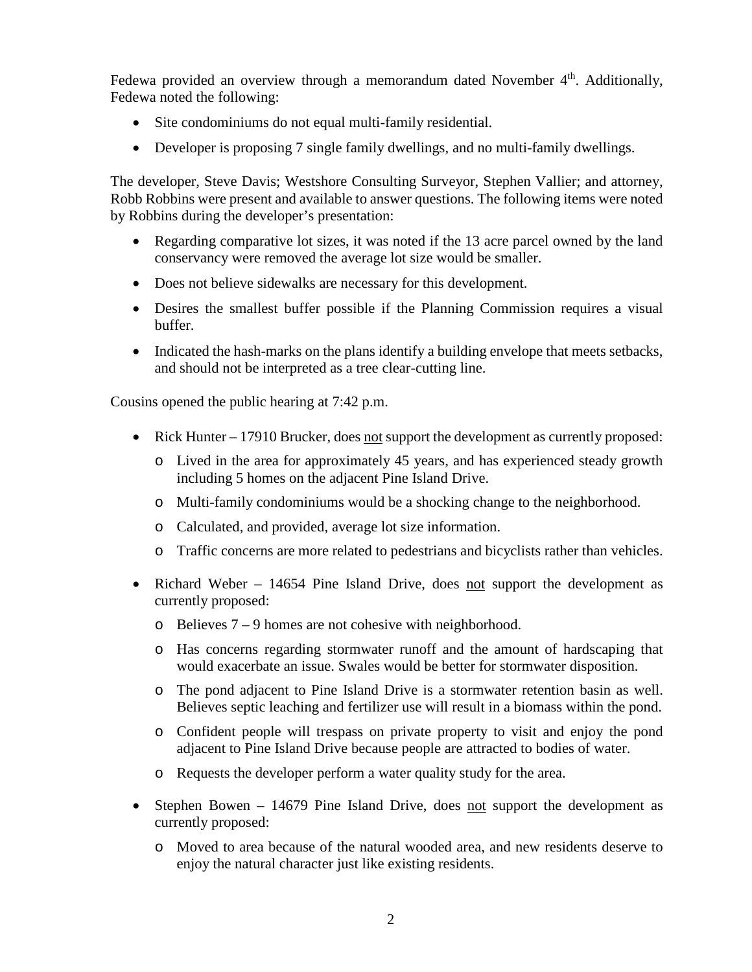Fedewa provided an overview through a memorandum dated November  $4<sup>th</sup>$ . Additionally, Fedewa noted the following:

- Site condominiums do not equal multi-family residential.
- Developer is proposing 7 single family dwellings, and no multi-family dwellings.

The developer, Steve Davis; Westshore Consulting Surveyor, Stephen Vallier; and attorney, Robb Robbins were present and available to answer questions. The following items were noted by Robbins during the developer's presentation:

- Regarding comparative lot sizes, it was noted if the 13 acre parcel owned by the land conservancy were removed the average lot size would be smaller.
- Does not believe sidewalks are necessary for this development.
- Desires the smallest buffer possible if the Planning Commission requires a visual buffer.
- Indicated the hash-marks on the plans identify a building envelope that meets setbacks, and should not be interpreted as a tree clear-cutting line.

Cousins opened the public hearing at 7:42 p.m.

- Rick Hunter 17910 Brucker, does not support the development as currently proposed:
	- o Lived in the area for approximately 45 years, and has experienced steady growth including 5 homes on the adjacent Pine Island Drive.
	- o Multi-family condominiums would be a shocking change to the neighborhood.
	- o Calculated, and provided, average lot size information.
	- o Traffic concerns are more related to pedestrians and bicyclists rather than vehicles.
- Richard Weber 14654 Pine Island Drive, does not support the development as currently proposed:
	- o Believes 7 9 homes are not cohesive with neighborhood.
	- o Has concerns regarding stormwater runoff and the amount of hardscaping that would exacerbate an issue. Swales would be better for stormwater disposition.
	- o The pond adjacent to Pine Island Drive is a stormwater retention basin as well. Believes septic leaching and fertilizer use will result in a biomass within the pond.
	- o Confident people will trespass on private property to visit and enjoy the pond adjacent to Pine Island Drive because people are attracted to bodies of water.
	- o Requests the developer perform a water quality study for the area.
- Stephen Bowen 14679 Pine Island Drive, does not support the development as currently proposed:
	- o Moved to area because of the natural wooded area, and new residents deserve to enjoy the natural character just like existing residents.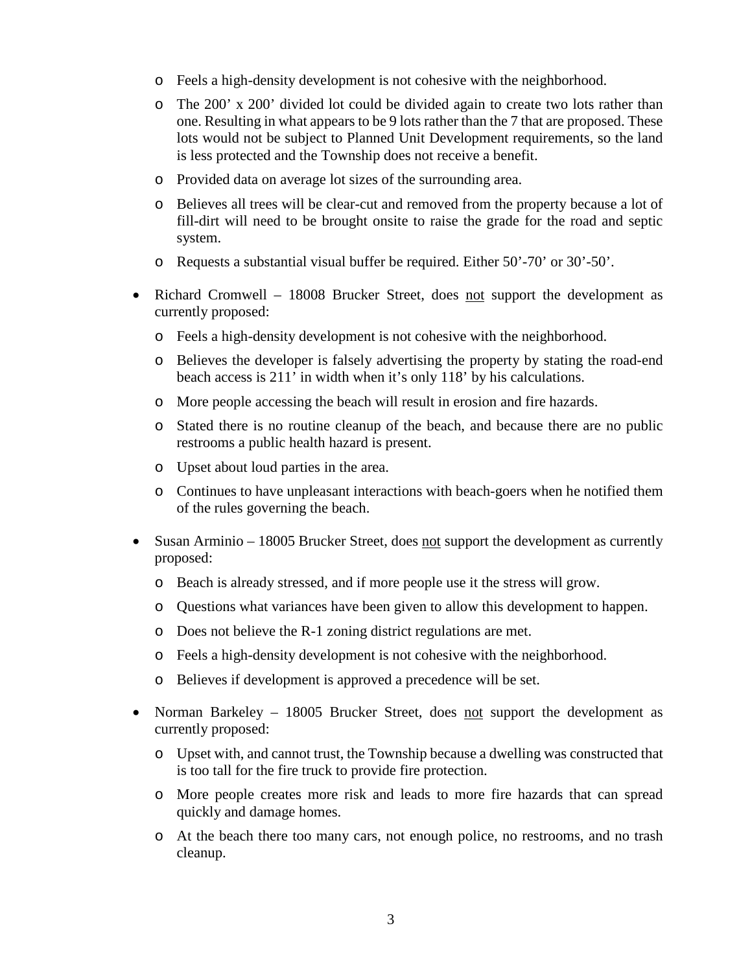- o Feels a high-density development is not cohesive with the neighborhood.
- o The 200' x 200' divided lot could be divided again to create two lots rather than one. Resulting in what appears to be 9 lots rather than the 7 that are proposed. These lots would not be subject to Planned Unit Development requirements, so the land is less protected and the Township does not receive a benefit.
- o Provided data on average lot sizes of the surrounding area.
- o Believes all trees will be clear-cut and removed from the property because a lot of fill-dirt will need to be brought onsite to raise the grade for the road and septic system.
- o Requests a substantial visual buffer be required. Either 50'-70' or 30'-50'.
- Richard Cromwell 18008 Brucker Street, does not support the development as currently proposed:
	- o Feels a high-density development is not cohesive with the neighborhood.
	- o Believes the developer is falsely advertising the property by stating the road-end beach access is 211' in width when it's only 118' by his calculations.
	- o More people accessing the beach will result in erosion and fire hazards.
	- o Stated there is no routine cleanup of the beach, and because there are no public restrooms a public health hazard is present.
	- o Upset about loud parties in the area.
	- o Continues to have unpleasant interactions with beach-goers when he notified them of the rules governing the beach.
- Susan Arminio 18005 Brucker Street, does not support the development as currently proposed:
	- o Beach is already stressed, and if more people use it the stress will grow.
	- o Questions what variances have been given to allow this development to happen.
	- o Does not believe the R-1 zoning district regulations are met.
	- o Feels a high-density development is not cohesive with the neighborhood.
	- o Believes if development is approved a precedence will be set.
- Norman Barkeley 18005 Brucker Street, does not support the development as currently proposed:
	- o Upset with, and cannot trust, the Township because a dwelling was constructed that is too tall for the fire truck to provide fire protection.
	- o More people creates more risk and leads to more fire hazards that can spread quickly and damage homes.
	- o At the beach there too many cars, not enough police, no restrooms, and no trash cleanup.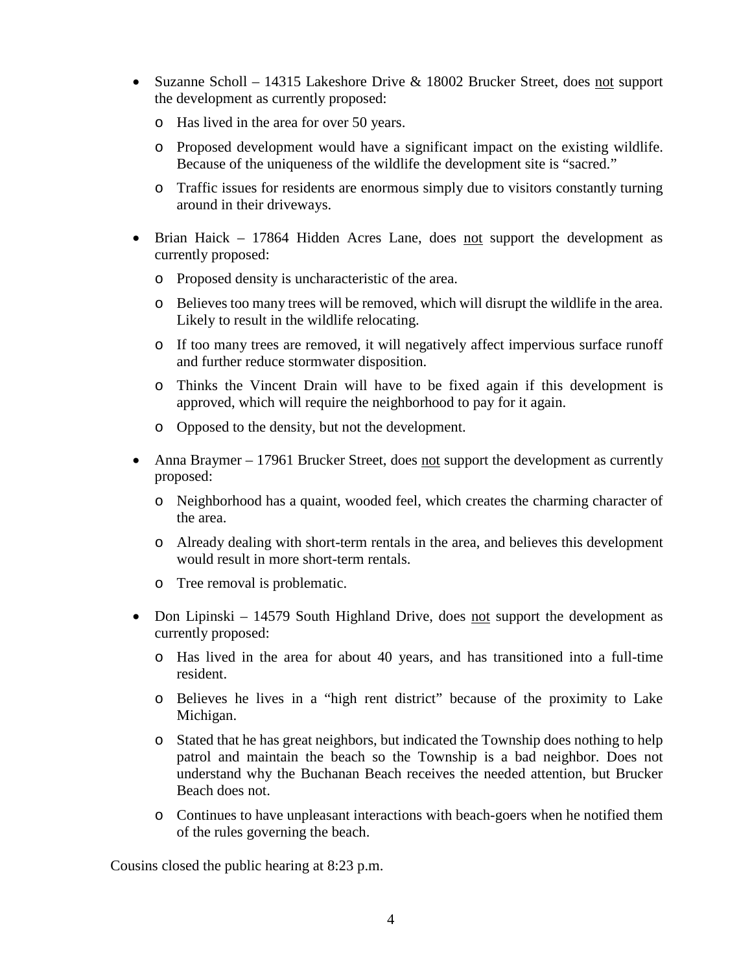- Suzanne Scholl 14315 Lakeshore Drive & 18002 Brucker Street, does not support the development as currently proposed:
	- o Has lived in the area for over 50 years.
	- o Proposed development would have a significant impact on the existing wildlife. Because of the uniqueness of the wildlife the development site is "sacred."
	- o Traffic issues for residents are enormous simply due to visitors constantly turning around in their driveways.
- Brian Haick 17864 Hidden Acres Lane, does not support the development as currently proposed:
	- o Proposed density is uncharacteristic of the area.
	- o Believes too many trees will be removed, which will disrupt the wildlife in the area. Likely to result in the wildlife relocating.
	- o If too many trees are removed, it will negatively affect impervious surface runoff and further reduce stormwater disposition.
	- o Thinks the Vincent Drain will have to be fixed again if this development is approved, which will require the neighborhood to pay for it again.
	- o Opposed to the density, but not the development.
- Anna Braymer 17961 Brucker Street, does not support the development as currently proposed:
	- o Neighborhood has a quaint, wooded feel, which creates the charming character of the area.
	- o Already dealing with short-term rentals in the area, and believes this development would result in more short-term rentals.
	- o Tree removal is problematic.
- Don Lipinski 14579 South Highland Drive, does not support the development as currently proposed:
	- o Has lived in the area for about 40 years, and has transitioned into a full-time resident.
	- o Believes he lives in a "high rent district" because of the proximity to Lake Michigan.
	- o Stated that he has great neighbors, but indicated the Township does nothing to help patrol and maintain the beach so the Township is a bad neighbor. Does not understand why the Buchanan Beach receives the needed attention, but Brucker Beach does not.
	- o Continues to have unpleasant interactions with beach-goers when he notified them of the rules governing the beach.

Cousins closed the public hearing at 8:23 p.m.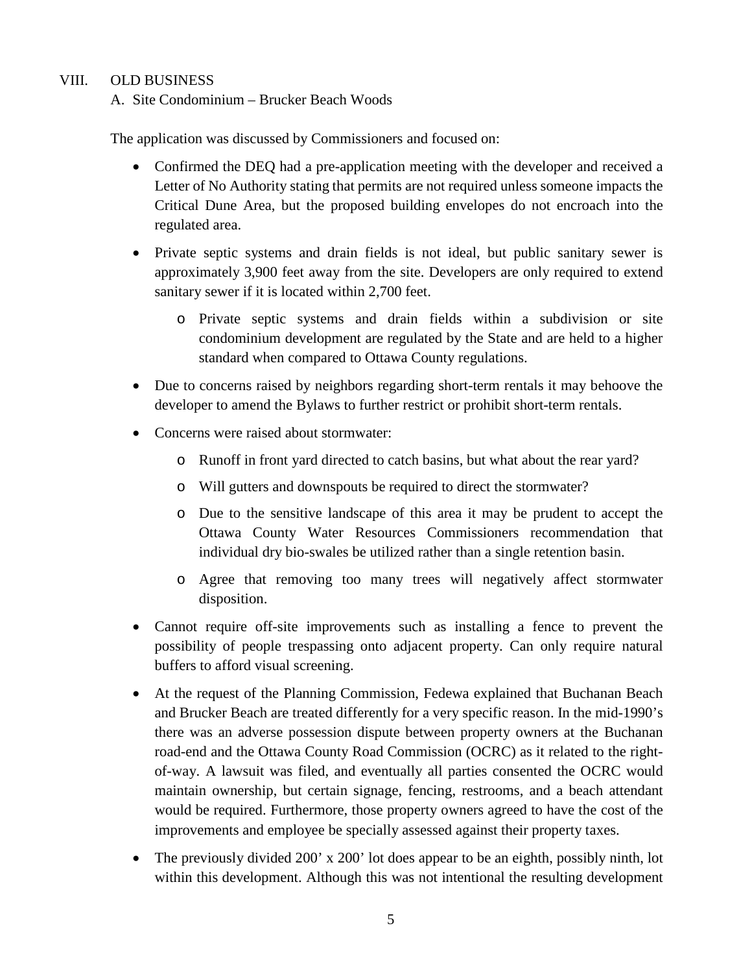### VIII. OLD BUSINESS

A. Site Condominium – Brucker Beach Woods

The application was discussed by Commissioners and focused on:

- Confirmed the DEQ had a pre-application meeting with the developer and received a Letter of No Authority stating that permits are not required unless someone impacts the Critical Dune Area, but the proposed building envelopes do not encroach into the regulated area.
- Private septic systems and drain fields is not ideal, but public sanitary sewer is approximately 3,900 feet away from the site. Developers are only required to extend sanitary sewer if it is located within 2,700 feet.
	- o Private septic systems and drain fields within a subdivision or site condominium development are regulated by the State and are held to a higher standard when compared to Ottawa County regulations.
- Due to concerns raised by neighbors regarding short-term rentals it may behoove the developer to amend the Bylaws to further restrict or prohibit short-term rentals.
- Concerns were raised about stormwater:
	- o Runoff in front yard directed to catch basins, but what about the rear yard?
	- o Will gutters and downspouts be required to direct the stormwater?
	- o Due to the sensitive landscape of this area it may be prudent to accept the Ottawa County Water Resources Commissioners recommendation that individual dry bio-swales be utilized rather than a single retention basin.
	- o Agree that removing too many trees will negatively affect stormwater disposition.
- Cannot require off-site improvements such as installing a fence to prevent the possibility of people trespassing onto adjacent property. Can only require natural buffers to afford visual screening.
- At the request of the Planning Commission, Fedewa explained that Buchanan Beach and Brucker Beach are treated differently for a very specific reason. In the mid-1990's there was an adverse possession dispute between property owners at the Buchanan road-end and the Ottawa County Road Commission (OCRC) as it related to the rightof-way. A lawsuit was filed, and eventually all parties consented the OCRC would maintain ownership, but certain signage, fencing, restrooms, and a beach attendant would be required. Furthermore, those property owners agreed to have the cost of the improvements and employee be specially assessed against their property taxes.
- The previously divided 200' x 200' lot does appear to be an eighth, possibly ninth, lot within this development. Although this was not intentional the resulting development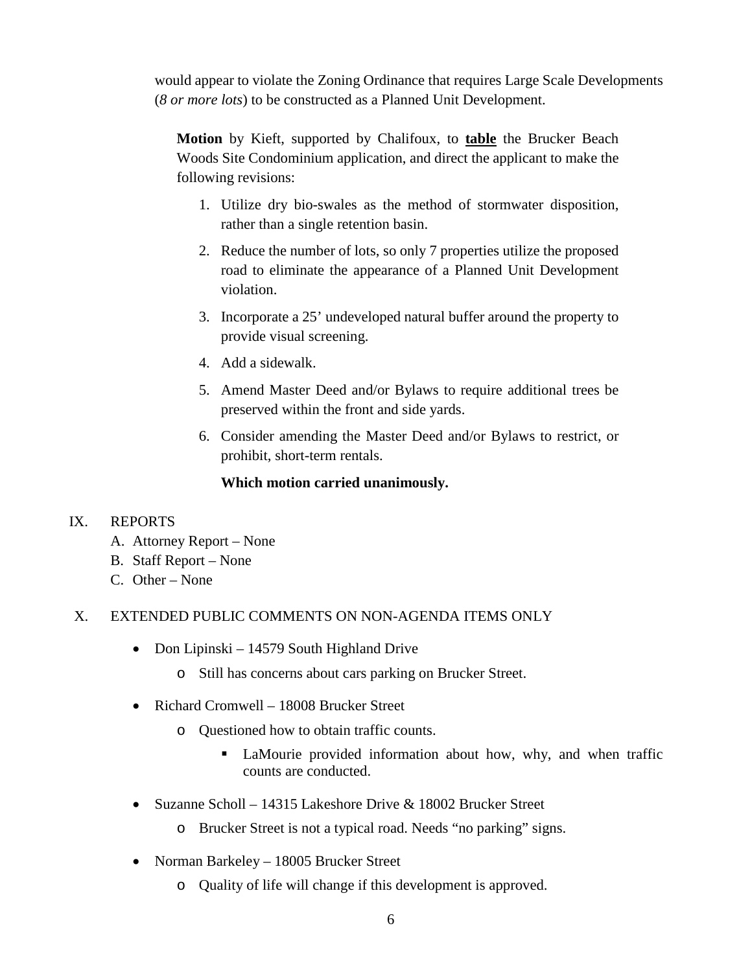would appear to violate the Zoning Ordinance that requires Large Scale Developments (*8 or more lots*) to be constructed as a Planned Unit Development.

**Motion** by Kieft, supported by Chalifoux, to **table** the Brucker Beach Woods Site Condominium application, and direct the applicant to make the following revisions:

- 1. Utilize dry bio-swales as the method of stormwater disposition, rather than a single retention basin.
- 2. Reduce the number of lots, so only 7 properties utilize the proposed road to eliminate the appearance of a Planned Unit Development violation.
- 3. Incorporate a 25' undeveloped natural buffer around the property to provide visual screening.
- 4. Add a sidewalk.
- 5. Amend Master Deed and/or Bylaws to require additional trees be preserved within the front and side yards.
- 6. Consider amending the Master Deed and/or Bylaws to restrict, or prohibit, short-term rentals.

# **Which motion carried unanimously.**

## IX. REPORTS

- A. Attorney Report None
- B. Staff Report None
- C. Other None

## X. EXTENDED PUBLIC COMMENTS ON NON-AGENDA ITEMS ONLY

- Don Lipinski 14579 South Highland Drive
	- o Still has concerns about cars parking on Brucker Street.
- Richard Cromwell 18008 Brucker Street
	- o Questioned how to obtain traffic counts.
		- LaMourie provided information about how, why, and when traffic counts are conducted.
- Suzanne Scholl 14315 Lakeshore Drive & 18002 Brucker Street
	- o Brucker Street is not a typical road. Needs "no parking" signs.
- Norman Barkeley 18005 Brucker Street
	- o Quality of life will change if this development is approved.